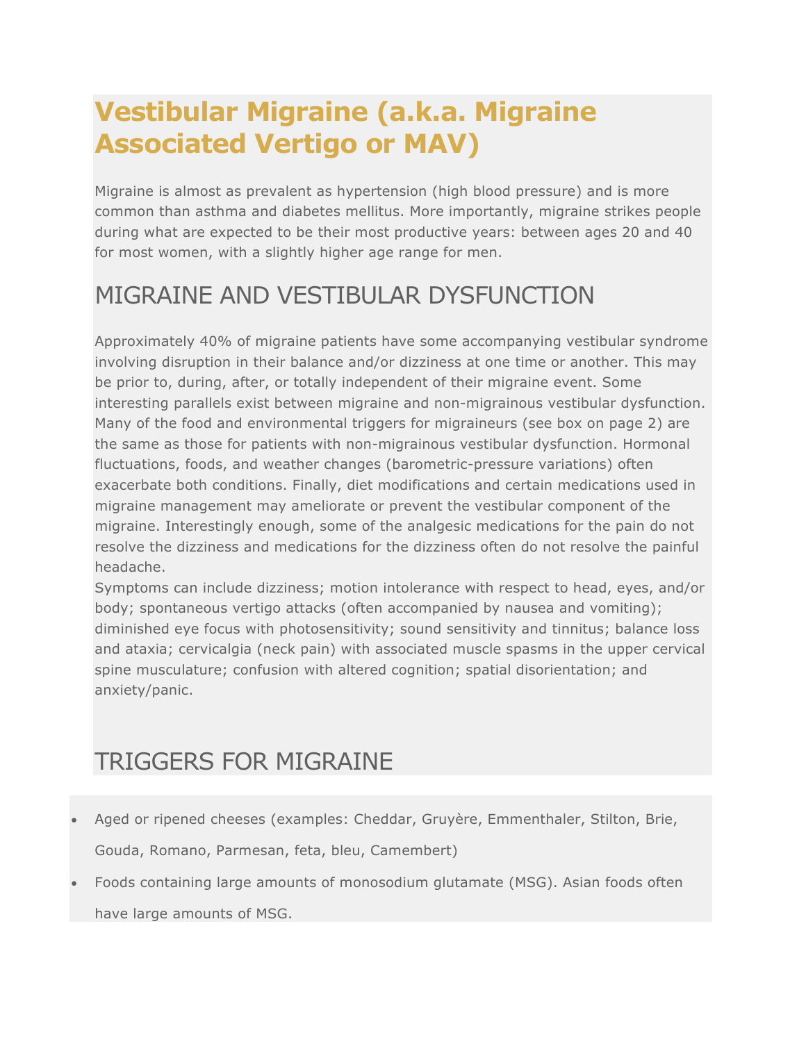# **Vestibular Migraine (a.k.a. Migraine Associated Vertigo or MAV)**

Migraine is almost as prevalent as hypertension (high blood pressure) and is more common than asthma and diabetes mellitus. More importantly, migraine strikes people during what are expected to be their most productive years: between ages 20 and 40 for most women, with a slightly higher age range for men.

## MIGRAINE AND VESTIBULAR DYSFUNCTION

Approximately 40% of migraine patients have some accompanying vestibular syndrome involving disruption in their balance and/or dizziness at one time or another. This may be prior to, during, after, or totally independent of their migraine event. Some interesting parallels exist between migraine and non-migrainous vestibular dysfunction. Many of the food and environmental triggers for migraineurs (see box on page 2) are the same as those for patients with non-migrainous vestibular dysfunction. Hormonal fluctuations, foods, and weather changes (barometric-pressure variations) often exacerbate both conditions. Finally, diet modifications and certain medications used in migraine management may ameliorate or prevent the vestibular component of the migraine. Interestingly enough, some of the analgesic medications for the pain do not resolve the dizziness and medications for the dizziness often do not resolve the painful headache.

Symptoms can include dizziness; motion intolerance with respect to head, eyes, and/or body; spontaneous vertigo attacks (often accompanied by nausea and vomiting); diminished eye focus with photosensitivity; sound sensitivity and tinnitus; balance loss and ataxia; cervicalgia (neck pain) with associated muscle spasms in the upper cervical spine musculature; confusion with altered cognition; spatial disorientation; and anxiety/panic.

## TRIGGERS FOR MIGRAINE

- Aged or ripened cheeses (examples: Cheddar, Gruyère, Emmenthaler, Stilton, Brie, Gouda, Romano, Parmesan, feta, bleu, Camembert)
- Foods containing large amounts of monosodium glutamate (MSG). Asian foods often have large amounts of MSG.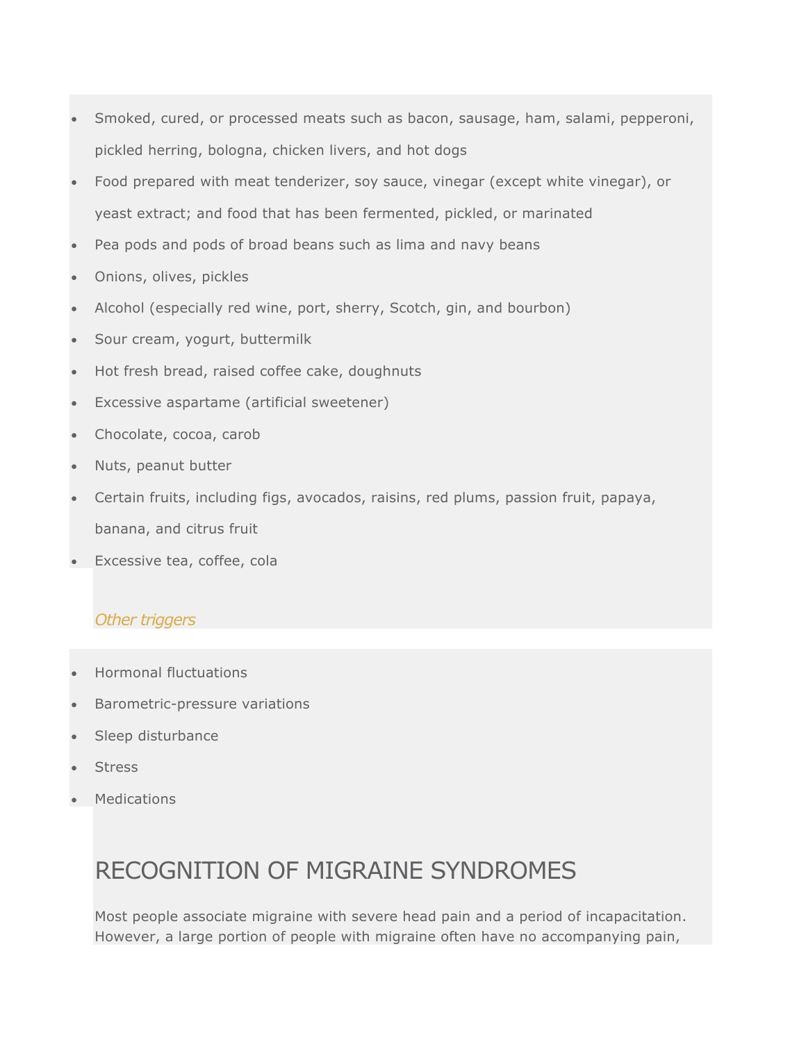- Smoked, cured, or processed meats such as bacon, sausage, ham, salami, pepperoni, pickled herring, bologna, chicken livers, and hot dogs
- Food prepared with meat tenderizer, soy sauce, vinegar (except white vinegar), or yeast extract; and food that has been fermented, pickled, or marinated
- Pea pods and pods of broad beans such as lima and navy beans
- Onions, olives, pickles
- Alcohol (especially red wine, port, sherry, Scotch, gin, and bourbon)
- Sour cream, yogurt, buttermilk
- Hot fresh bread, raised coffee cake, doughnuts
- Excessive aspartame (artificial sweetener)
- Chocolate, cocoa, carob
- Nuts, peanut butter
- Certain fruits, including figs, avocados, raisins, red plums, passion fruit, papaya, banana, and citrus fruit
- Excessive tea, coffee, cola

#### *Other triggers*

- Hormonal fluctuations
- Barometric-pressure variations
- Sleep disturbance
- **Stress**
- **Medications**

### RECOGNITION OF MIGRAINE SYNDROMES

Most people associate migraine with severe head pain and a period of incapacitation. However, a large portion of people with migraine often have no accompanying pain,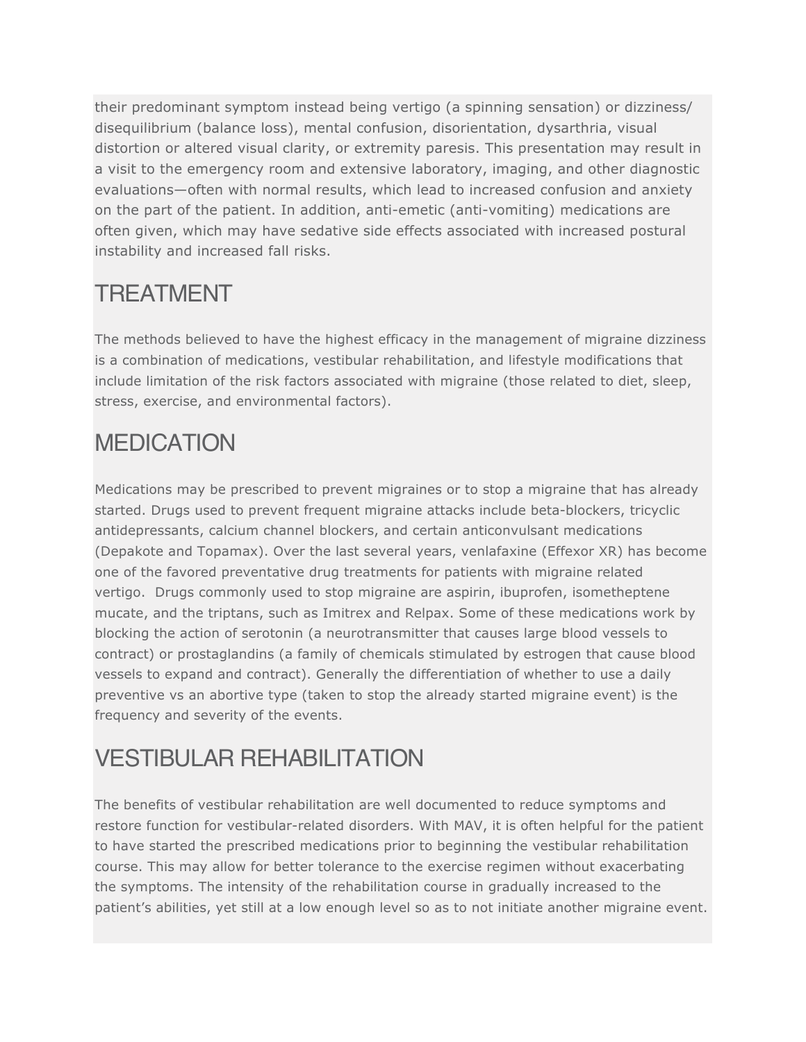their predominant symptom instead being vertigo (a spinning sensation) or dizziness/ disequilibrium (balance loss), mental confusion, disorientation, dysarthria, visual distortion or altered visual clarity, or extremity paresis. This presentation may result in a visit to the emergency room and extensive laboratory, imaging, and other diagnostic evaluations—often with normal results, which lead to increased confusion and anxiety on the part of the patient. In addition, anti-emetic (anti-vomiting) medications are often given, which may have sedative side effects associated with increased postural instability and increased fall risks.

### TREATMENT

The methods believed to have the highest efficacy in the management of migraine dizziness is a combination of medications, vestibular rehabilitation, and lifestyle modifications that include limitation of the risk factors associated with migraine (those related to diet, sleep, stress, exercise, and environmental factors).

## MEDICATION

Medications may be prescribed to prevent migraines or to stop a migraine that has already started. Drugs used to prevent frequent migraine attacks include beta-blockers, tricyclic antidepressants, calcium channel blockers, and certain anticonvulsant medications (Depakote and Topamax). Over the last several years, venlafaxine (Effexor XR) has become one of the favored preventative drug treatments for patients with migraine related vertigo. Drugs commonly used to stop migraine are aspirin, ibuprofen, isometheptene mucate, and the triptans, such as Imitrex and Relpax. Some of these medications work by blocking the action of serotonin (a neurotransmitter that causes large blood vessels to contract) or prostaglandins (a family of chemicals stimulated by estrogen that cause blood vessels to expand and contract). Generally the differentiation of whether to use a daily preventive vs an abortive type (taken to stop the already started migraine event) is the frequency and severity of the events.

## VESTIBULAR REHABILITATION

The benefits of vestibular rehabilitation are well documented to reduce symptoms and restore function for vestibular-related disorders. With MAV, it is often helpful for the patient to have started the prescribed medications prior to beginning the vestibular rehabilitation course. This may allow for better tolerance to the exercise regimen without exacerbating the symptoms. The intensity of the rehabilitation course in gradually increased to the patient's abilities, yet still at a low enough level so as to not initiate another migraine event.